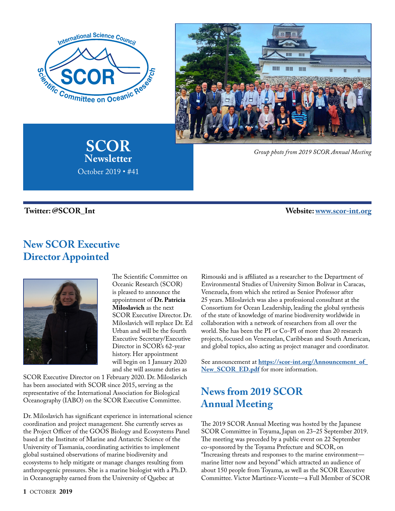

**SCOR Newsletter**

October 2019 • #41



*Group photo from 2019 SCOR Annual Meeting* 

 **Twitter: @SCOR\_Int Website: [www.scor-int.org](https://scor-int.org/)**

#### **New SCOR Executive Director Appointed**



The Scientific Committee on Oceanic Research (SCOR) is pleased to announce the appointment of **Dr. Patricia Miloslavich** as the next SCOR Executive Director. Dr. Miloslavich will replace Dr. Ed Urban and will be the fourth Executive Secretary/Executive Director in SCOR's 62-year history. Her appointment will begin on 1 January 2020 and she will assume duties as

SCOR Executive Director on 1 February 2020. Dr. Miloslavich has been associated with SCOR since 2015, serving as the representative of the International Association for Biological Oceanography (IABO) on the SCOR Executive Committee.

Dr. Miloslavich has significant experience in international science coordination and project management. She currently serves as the Project Officer of the GOOS Biology and Ecosystems Panel based at the Institute of Marine and Antarctic Science of the University of Tasmania, coordinating activities to implement global sustained observations of marine biodiversity and ecosystems to help mitigate or manage changes resulting from anthropogenic pressures. She is a marine biologist with a Ph.D. in Oceanography earned from the University of Quebec at

Rimouski and is affiliated as a researcher to the Department of Environmental Studies of University Simon Bolivar in Caracas, Venezuela, from which she retired as Senior Professor after 25 years. Miloslavich was also a professional consultant at the Consortium for Ocean Leadership, leading the global synthesis of the state of knowledge of marine biodiversity worldwide in collaboration with a network of researchers from all over the world. She has been the PI or Co-PI of more than 20 research projects, focused on Venezuelan, Caribbean and South American, and global topics, also acting as project manager and coordinator.

See announcement at **[https://scor-int.org/Announcement\\_of\\_](https://scor-int.org/Announcement_of_New_SCOR_ED.pdf) New SCOR ED.pdf** for more information.

## **News from 2019 SCOR Annual Meeting**

The 2019 SCOR Annual Meeting was hosted by the Japanese SCOR Committee in Toyama, Japan on 23–25 September 2019. The meeting was preceded by a public event on 22 September co-sponsored by the Toyama Prefecture and SCOR, on "Increasing threats and responses to the marine environment marine litter now and beyond" which attracted an audience of about 150 people from Toyama, as well as the SCOR Executive Committee. Victor Martinez-Vicente—a Full Member of SCOR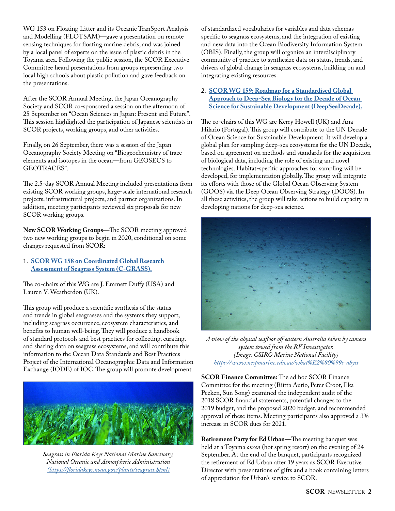WG 153 on Floating Litter and its Oceanic TranSport Analysis and Modelling (FLOTSAM)—gave a presentation on remote sensing techniques for floating marine debris, and was joined by a local panel of experts on the issue of plastic debris in the Toyama area. Following the public session, the SCOR Executive Committee heard presentations from groups representing two local high schools about plastic pollution and gave feedback on the presentations.

After the SCOR Annual Meeting, the Japan Oceanography Society and SCOR co-sponsored a session on the afternoon of 25 September on "Ocean Sciences in Japan: Present and Future". This session highlighted the participation of Japanese scientists in SCOR projects, working groups, and other activities.

Finally, on 26 September, there was a session of the Japan Oceanography Society Meeting on "Biogeochemistry of trace elements and isotopes in the ocean—from GEOSECS to GEOTRACES".

The 2.5-day SCOR Annual Meeting included presentations from existing SCOR working groups, large-scale international research projects, infrastructural projects, and partner organizations. In addition, meeting participants reviewed six proposals for new SCOR working groups.

**New SCOR Working Groups—**The SCOR meeting approved two new working groups to begin in 2020, conditional on some changes requested from SCOR:

1. **[SCOR WG 158 on Coordinated Global Research](https://scor-int.org/Annual%20Meetings/2019_SCOR_Meeting/C-GRASS.pdf)  [Assessment of Seagrass System \(C-GRASS\).](https://scor-int.org/Annual%20Meetings/2019_SCOR_Meeting/C-GRASS.pdf)**

The co-chairs of this WG are J. Emmett Duffy (USA) and Lauren V. Weatherdon (UK).

This group will produce a scientific synthesis of the status and trends in global seagrasses and the systems they support, including seagrass occurrence, ecosystem characteristics, and benefits to human well-being. They will produce a handbook of standard protocols and best practices for collecting, curating, and sharing data on seagrass ecosystems, and will contribute this information to the Ocean Data Standards and Best Practices Project of the International Oceanographic Data and Information Exchange (IODE) of IOC. The group will promote development



*Seagrass in Florida Keys National Marine Sanctuary, National Oceanic and Atmospheric Administration [\(https://floridakeys.noaa.gov/plants/seagrass.html\)](https://floridakeys.noaa.gov/plants/seagrass.html)*

of standardized vocabularies for variables and data schemas specific to seagrass ecosystems, and the integration of existing and new data into the Ocean Biodiversity Information System (OBIS). Finally, the group will organize an interdisciplinary community of practice to synthesize data on status, trends, and drivers of global change in seagrass ecosystems, building on and integrating existing resources.

#### 2. **[SCOR WG 159: Roadmap for a Standardised Global](https://scor-int.org/Annual%20Meetings/2019_SCOR_Meeting/DeepSeaDecade.pdf)  [Approach to Deep-Sea Biology for the Decade of Ocean](https://scor-int.org/Annual%20Meetings/2019_SCOR_Meeting/DeepSeaDecade.pdf)  [Science for Sustainable Development \(DeepSeaDecade\).](https://scor-int.org/Annual%20Meetings/2019_SCOR_Meeting/DeepSeaDecade.pdf)**

The co-chairs of this WG are Kerry Howell (UK) and Ana Hilario (Portugal). This group will contribute to the UN Decade of Ocean Science for Sustainable Development. It will develop a global plan for sampling deep-sea ecosystems for the UN Decade, based on agreement on methods and standards for the acquisition of biological data, including the role of existing and novel technologies. Habitat-specific approaches for sampling will be developed, for implementation globally. The group will integrate its efforts with those of the Global Ocean Observing System (GOOS) via the Deep Ocean Observing Strategy (DOOS). In all these activities, the group will take actions to build capacity in developing nations for deep-sea science.



*A view of the abyssal seafloor off eastern Australia taken by camera system towed from the RV Investigator. (Image: CSIRO Marine National Facility) <https://www.nespmarine.edu.au/what%E2%80%99s-abyss>*

**SCOR Finance Committee:** The ad hoc SCOR Finance Committee for the meeting (Riitta Autio, Peter Croot, Ilka Peeken, Sun Song) examined the independent audit of the 2018 SCOR financial statements, potential changes to the 2019 budget, and the proposed 2020 budget, and recommended approval of these items. Meeting participants also approved a 3% increase in SCOR dues for 2021.

**Retirement Party for Ed Urban—**The meeting banquet was held at a Toyama *onsen* (hot spring resort) on the evening of 24 September. At the end of the banquet, participants recognized the retirement of Ed Urban after 19 years as SCOR Executive Director with presentations of gifts and a book containing letters of appreciation for Urban's service to SCOR.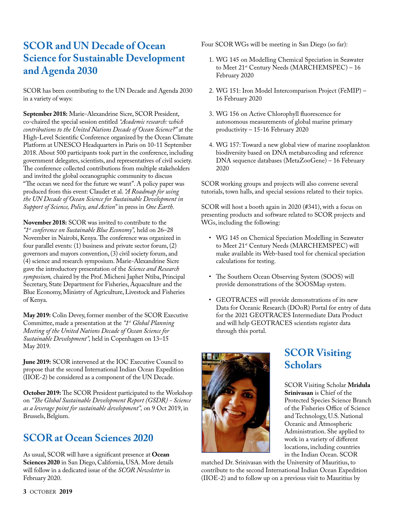#### **SCOR and UN Decade of Ocean Science for Sustainable Development and Agenda 2030**

SCOR has been contributing to the UN Decade and Agenda 2030 in a variety of ways:

**September 2018:** Marie-Alexandrine Sicre, SCOR President, co-chaired the special session entitled *"Academic research: which contributions to the United Nations Decade of Ocean Science?"* at the High-Level Scientific Conference organized by the Ocean Climate Platform at UNESCO Headquarters in Paris on 10-11 September 2018. About 500 participants took part in the conference, including government delegates, scientists, and representatives of civil society. The conference collected contributions from multiple stakeholders and invited the global oceanographic community to discuss "The ocean we need for the future we want". A policy paper was produced from this event: Claudet et al. *"A Roadmap for using the UN Decade of Ocean Science for Sustainable Development in Support of Science, Policy, and Action"* in press in *One Earth.*

**November 2018:** SCOR was invited to contribute to the *"1st conference on Sustainable Blue Economy",* held on 26–28 November in Nairobi, Kenya. The conference was organized in four parallel events: (1) business and private sector forum, (2) governors and mayors convention, (3) civil society forum, and (4) science and research symposium. Marie-Alexandrine Sicre gave the introductory presentation of the *Science and Research symposium,* chaired by the Prof. Micheni Japhet Ntiba, Principal Secretary, State Department for Fisheries, Aquaculture and the Blue Economy, Ministry of Agriculture, Livestock and Fisheries of Kenya.

**May 2019:** Colin Devey, former member of the SCOR Executive Committee, made a presentation at the *"1st Global Planning Meeting of the United Nations Decade of Ocean Science for Sustainable Development",* held in Copenhagen on 13–15 May 2019.

**June 2019:** SCOR intervened at the IOC Executive Council to propose that the second International Indian Ocean Expedition (IIOE-2) be considered as a component of the UN Decade.

**October 2019:** The SCOR President participated to the Workshop on *"The Global Sustainable Development Report (GSDR) - Science as a leverage point for sustainable development",* on 9 Oct 2019, in Brussels, Belgium.

#### **SCOR at Ocean Sciences 2020**

As usual, SCOR will have a significant presence at **Ocean Sciences 2020** in San Diego, California, USA. More details will follow in a dedicated issue of the *SCOR Newsletter* in February 2020.

Four SCOR WGs will be meeting in San Diego (so far):

- 1. WG 145 on Modelling Chemical Speciation in Seawater to Meet 21<sup>st</sup> Century Needs (MARCHEMSPEC) - 16 February 2020
- 2. WG 151: Iron Model Intercomparison Project (FeMIP) 16 February 2020
- 3. WG 156 on Active Chlorophyll fluorescence for autonomous measurements of global marine primary productivity – 15-16 February 2020
- 4. WG 157: Toward a new global view of marine zooplankton biodiversity based on DNA metabarcoding and reference DNA sequence databases (MetaZooGene) – 16 February 2020

SCOR working groups and projects will also convene several tutorials, town halls, and special sessions related to their topics.

SCOR will host a booth again in 2020 (#341), with a focus on presenting products and software related to SCOR projects and WGs, including the following:

- WG 145 on Chemical Speciation Modelling in Seawater to Meet 21<sup>st</sup> Century Needs (MARCHEMSPEC) will make available its Web-based tool for chemical speciation calculations for testing.
- The Southern Ocean Observing System (SOOS) will provide demonstrations of the SOOSMap system.
- GEOTRACES will provide demonstrations of its new Data for Oceanic Research (DOoR) Portal for entry of data for the 2021 GEOTRACES Intermediate Data Product and will help GEOTRACES scientists register data through this portal.



#### **SCOR Visiting Scholars**

SCOR Visiting Scholar **Mridula Srinivasan** is Chief of the Protected Species Science Branch of the Fisheries Office of Science and Technology, U.S. National Oceanic and Atmospheric Administration. She applied to work in a variety of different locations, including countries in the Indian Ocean. SCOR

matched Dr. Srinivasan with the University of Mauritius, to contribute to the second International Indian Ocean Expedition (IIOE-2) and to follow up on a previous visit to Mauritius by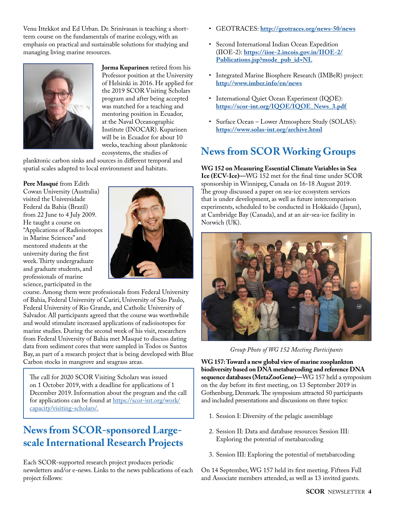Venu Ittekkot and Ed Urban. Dr. Srinivasan is teaching a shortterm course on the fundamentals of marine ecology, with an emphasis on practical and sustainable solutions for studying and managing living marine resources.



**Jorma Kuparinen** retired from his Professor position at the University of Helsinki in 2016. He applied for the 2019 SCOR Visiting Scholars program and after being accepted was matched for a teaching and mentoring position in Ecuador, at the Naval Oceanographic Institute (INOCAR). Kuparinen will be in Ecuador for about 10 weeks, teaching about planktonic ecosystems, the studies of

planktonic carbon sinks and sources in different temporal and spatial scales adapted to local environment and habitats.

**Pere Masqué** from Edith Cowan University (Australia) visited the Universidade Federal da Bahia (Brazil) from 22 June to 4 July 2009. He taught a course on "Applications of Radioisotopes in Marine Sciences" and mentored students at the university during the first week. Thirty undergraduate and graduate students, and professionals of marine science, participated in the



course. Among them were professionals from Federal University of Bahia, Federal University of Cariri, University of São Paulo, Federal University of Rio Grande, and Catholic University of Salvador. All participants agreed that the course was worthwhile and would stimulate increased applications of radioisotopes for marine studies. During the second week of his visit, researchers from Federal University of Bahia met Masqué to discuss dating data from sediment cores that were sampled in Todos os Santos Bay, as part of a research project that is being developed with Blue Carbon stocks in mangrove and seagrass areas.

The call for 2020 SCOR Visiting Scholars was issued on 1 October 2019, with a deadline for applications of 1 December 2019. Information about the program and the call for applications can be found at [https://scor-int.org/work/](https://scor-int.org/work/capacity/visiting-scholars/) [capacity/visiting-scholars/.](https://scor-int.org/work/capacity/visiting-scholars/)

#### **News from SCOR-sponsored Largescale International Research Projects**

Each SCOR-supported research project produces periodic newsletters and/or e-news. Links to the news publications of each project follows:

- GEOTRACES: **<http://geotraces.org/news-50/news>**
- Second International Indian Ocean Expedition (IIOE-2): **[https://iioe-2.incois.gov.in/IIOE-2/](https://iioe-2.incois.gov.in/IIOE-2/Publications.jsp?mode_pub_id=NL) [Publications.jsp?mode\\_pub\\_id=NL](https://iioe-2.incois.gov.in/IIOE-2/Publications.jsp?mode_pub_id=NL)**
- Integrated Marine Biosphere Research (IMBeR) project: **<http://www.imber.info/en/news>**
- International Quiet Ocean Experiment (IQOE): **[https://scor-int.org/IQOE/IQOE\\_News\\_3.pdf](https://scor-int.org/IQOE/IQOE_News_3.pdf)**
- Surface Ocean Lower Atmosphere Study (SOLAS): **<https://www.solas-int.org/archive.html>**

## **News from SCOR Working Groups**

**WG 152 on Measuring Essential Climate Variables in Sea Ice (ECV-Ice)—**WG 152 met for the final time under SCOR sponsorship in Winnipeg, Canada on 16-18 August 2019. The group discussed a paper on sea-ice ecosystem services that is under development, as well as future intercomparison experiments, scheduled to be conducted in Hokkaido (Japan), at Cambridge Bay (Canada), and at an air-sea-ice facility in Norwich (UK).



*Group Photo of WG 152 Meeting Participants*

**WG 157: Toward a new global view of marine zooplankton biodiversity based on DNA metabarcoding and reference DNA sequence databases (MetaZooGene)—**WG 157 held a symposium on the day before its first meeting, on 13 September 2019 in Gothenburg, Denmark. The symposium attracted 50 participants and included presentations and discussions on three topics:

- 1. Session I: Diversity of the pelagic assemblage
- 2. Session II: Data and database resources Session III: Exploring the potential of metabarcoding
- 3. Session III: Exploring the potential of metabarcoding

On 14 September, WG 157 held its first meeting. Fifteen Full and Associate members attended, as well as 13 invited guests.